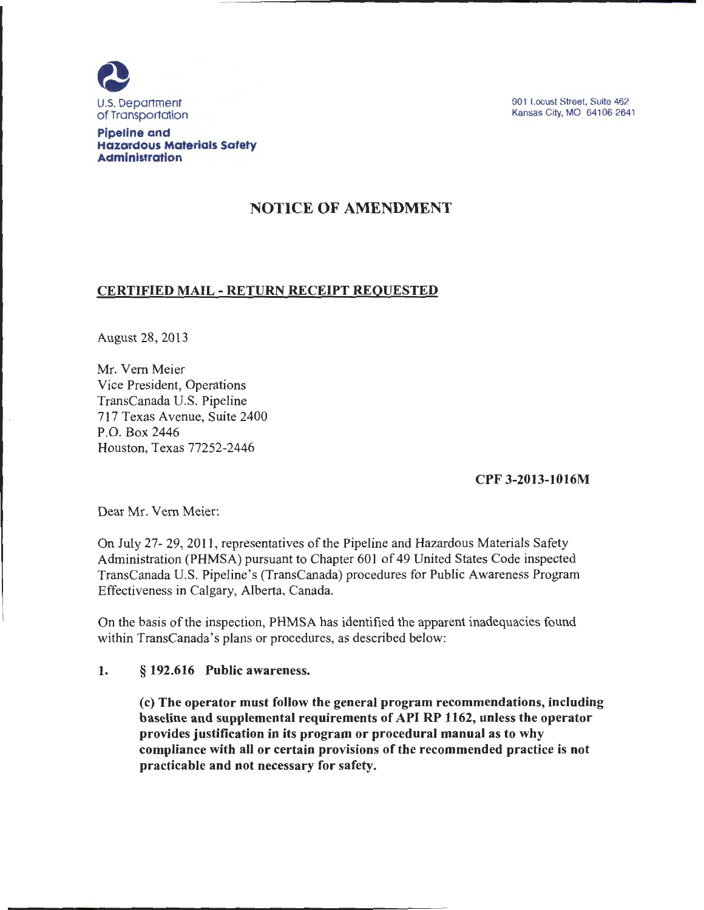

901 Locust Street, Suite 462 Kansas City, MO 64106-2641

Pipeline and Hazardous Materials Safety Administration

# NOTICE OF AMENDMENT

## CERTIFIED MAIL- RETURN RECEIPT REQUESTED

August 28, 2013

Mr. Vern Meier Vice President, Operations TransCanada U.S. Pipeline 717 Texas Avenue, Suite 2400 P.O. Box 2446 Houston, Texas 77252-2446

CPF 3-2013-1016M

Dear Mr. Vern Meier:

On July 27- 29, 2011 , representatives of the Pipeline and Hazardous Materials Safety Administration (PHMSA) pursuant to Chapter 601 of 49 United States Code inspected TransCanada U.S. Pipeline's (TransCanada) procedures for Public Awareness Program Effectiveness in Calgary, Alberta, Canada.

On the basis of the inspection, PHMSA has identified the apparent inadequacies found within TransCanada's plans or procedures, as described below:

### 1. § 192.616 Public awareness.

(c) The operator must follow the general program recommendations, including baseline and supplemental requirements of API RP 1162, unless the operator provides justification in its program or procedural manual as to why compliance with all or certain provisions of the recommended practice is not practicable and not necessary for safety.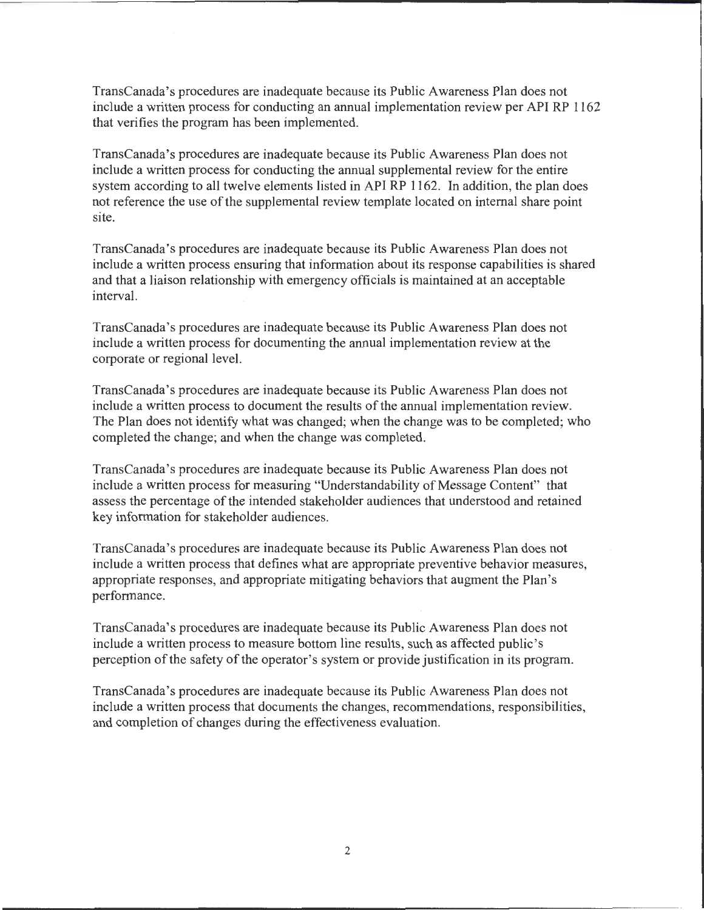TransCanada's procedures are inadequate because its Public Awareness Plan does not include a written process for conducting an annual implementation review per API RP 1162 that verifies the program has been implemented.

TransCanada's procedures are inadequate because its Public Awareness Plan does not include a written process for conducting the annual supplemental review for the entire system according to all twelve elements listed in API RP 1162. In addition, the plan does not reference the use of the supplemental review template located on internal share point site.

TransCanada's procedures are inadequate because its Public Awareness Plan does not include a written process ensuring that information about its response capabilities is shared and that a liaison relationship with emergency officials is maintained at an acceptable interval.

TransCanada's procedures are inadequate because its Public Awareness Plan does not include a written process for documenting the annual implementation review at the corporate or regional level.

TransCanada's procedures are inadequate because its Public Awareness Plan does not include a written process to document the results of the annual implementation review. The Plan does not identify what was changed; when the change was to be completed; who completed the change; and when the change was completed.

TransCanada's procedures are inadequate because its Public Awareness Plan does not include a written process for measuring "Understandability of Message Content" that assess the percentage of the intended stakeholder audiences that understood and retained key information for stakeholder audiences.

TransCanada's procedures are inadequate because its Public Awareness Plan does not include a written process that defines what are appropriate preventive behavior measures, appropriate responses, and appropriate mitigating behaviors that augment the Plan's performance.

TransCanada's procedures are inadequate because its Public Awareness Plan does not include a written process to measure bottom line results, such as affected public's perception of the safety of the operator's system or provide justification in its program.

TransCanada's procedures are inadequate because its Public Awareness Plan does not include a written process that documents the changes, recommendations, responsibilities, and completion of changes during the effectiveness evaluation.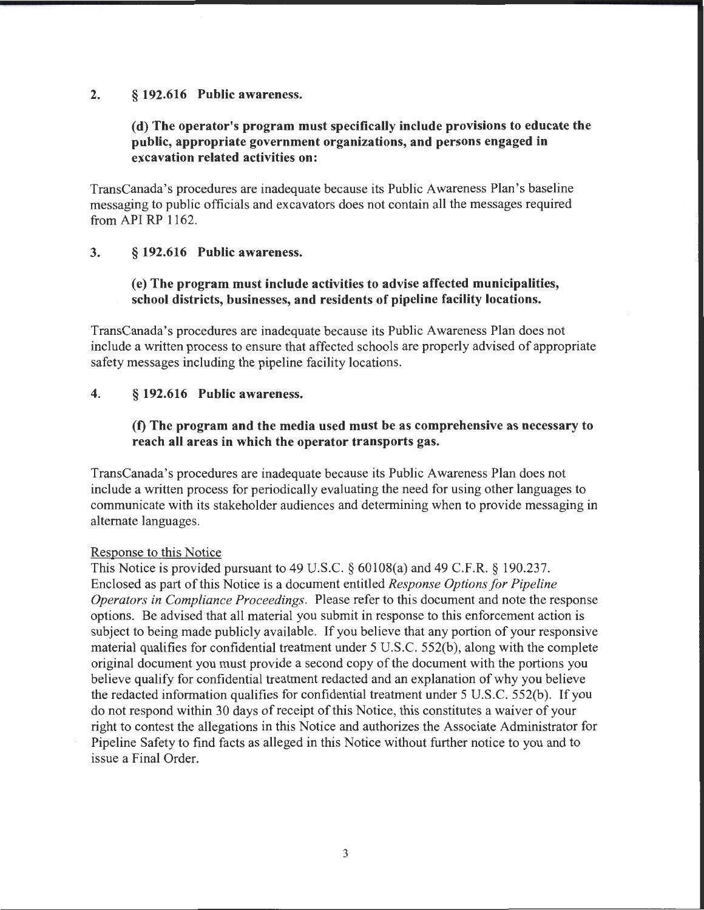#### 2. § 192.616 Public awareness.

## (d) The operator's program must specifically include provisions to educate the public, appropriate government organizations, and persons engaged in excavation related activities on:

TransCanada's procedures are inadequate because its Public Awareness Plan's baseline messaging to public officials and excavators does not contain all the messages required from API RP 1162.

#### 3. § 192.616 Public awareness.

### (e) The program must include activities to advise affected municipalities, school districts, businesses, and residents of pipeline facility locations.

TransCanada's procedures are inadequate because its Public Awareness Plan does not include a written process to ensure that affected schools are properly advised of appropriate safety messages including the pipeline facility locations.

#### 4. § 192.616 Public awareness.

## (f) The program and the media used must be as comprehensive as necessary to reach all areas in which the operator transports gas.

TransCanada's procedures are inadequate because its Public Awareness Plan does not include a written process for periodically evaluating the need for using other languages to communicate with its stakeholder audiences and determining when to provide messaging in alternate languages.

#### Response to this Notice

This Notice is provided pursuant to 49 U.S.C. § 60108(a) and 49 C.F.R. § 190.237. Enclosed as part of this Notice is a document entitled *Response Options for Pipeline Operators in Compliance Proceedings.* Please refer to this document and note the response options. Be advised that all material you submit in response to this enforcement action is subject to being made publicly available. If you believe that any portion of your responsive material qualifies for confidential treatment under 5 U.S.C. 552(b), along with the complete original document you must provide a second copy of the document with the portions you believe qualify for confidential treatment redacted and an explanation of why you believe the redacted information qualifies for confidential treatment under 5 U.S.C. 552(b). If you do not respond within 30 days of receipt of this Notice, this constitutes a waiver of your right to contest the allegations in this Notice and authorizes the Associate Administrator for Pipeline Safety to find facts as alleged in this Notice without further notice to you and to issue a Final Order.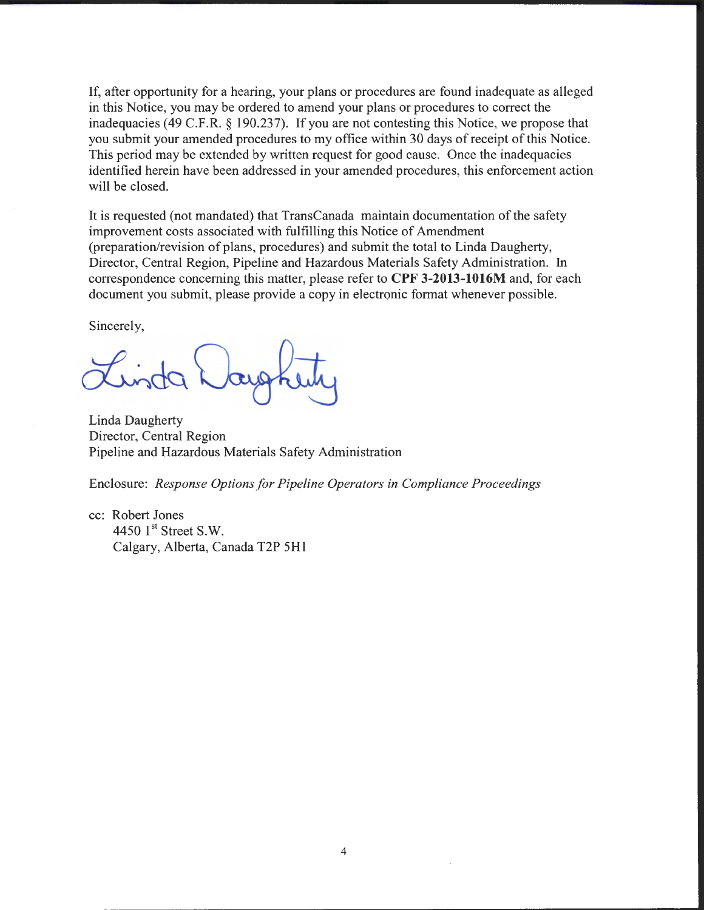If, after opportunity for a hearing, your plans or procedures are found inadequate as alleged in this Notice, you may be ordered to amend your plans or procedures to correct the inadequacies (49 C.F.R. § 190.237). If you are not contesting this Notice, we propose that you submit your amended procedures to my office within 30 days of receipt of this Notice. This period may be extended by written request for good cause. Once the inadequacies identified herein have been addressed in your amended procedures, this enforcement action will be closed.

It is requested (not mandated) that TransCanada maintain documentation of the safety improvement costs associated with fulfilling this Notice of Amendment (preparation/revision of plans, procedures) and submit the total to Linda Daugherty, Director, Central Region, Pipeline and Hazardous Materials Safety Administration. In correspondence concerning this matter, please refer to **CPF 3-2013-1016M** and, for each document you submit, please provide a copy in electronic format whenever possible.

Sincerely,

~do.

Linda Daugherty Director, Central Region Pipeline and Hazardous Materials Safety Administration

Enclosure: *Response Options for Pipeline Operators in Compliance Proceedings* 

cc: Robert Jones 4450  $1<sup>st</sup>$  Street S.W. Calgary, Alberta, Canada T2P 5H 1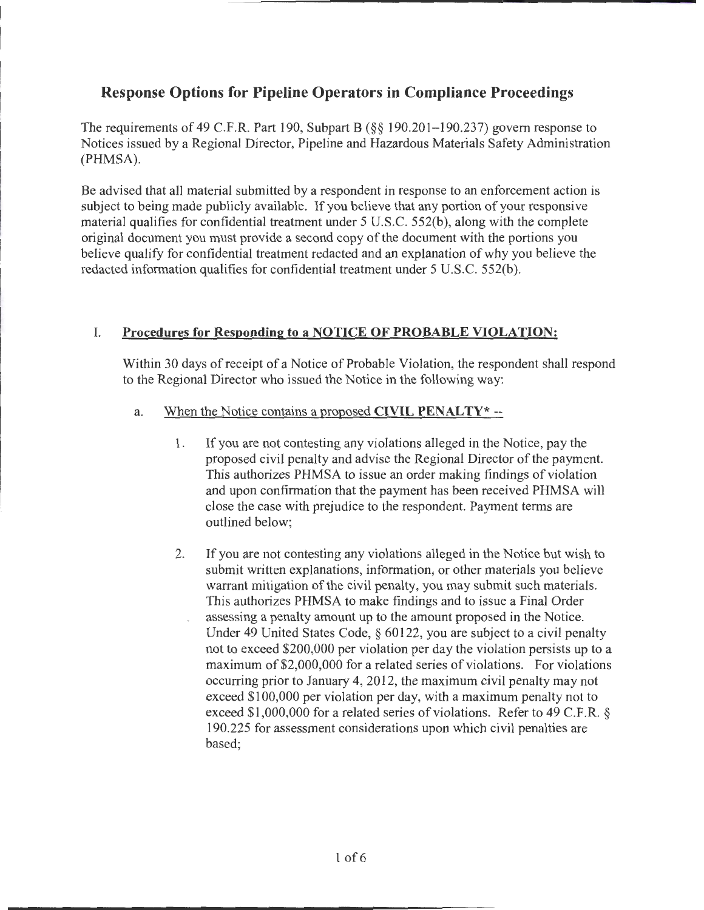# **Response Options for Pipeline Operators in Compliance Proceedings**

The requirements of 49 C.F.R. Part 190, Subpart B (§§ 190.201- 190.237) govern response to Notices issued by a Regional Director, Pipeline and Hazardous Materials Safety Administration (PHMSA).

Be advised that all material submitted by a respondent in response to an enforcement action is subject to being made publicly available. If you believe that any portion of your responsive material qualifies for confidential treatment under 5 U.S.C. 552(b), along with the complete original document you must provide a second copy of the document with the portions you believe qualify for confidential treatment redacted and an explanation of why you believe the redacted information qualifies for confidential treatment under 5 U.S.C. 552(b).

# I. **Procedures for Respondine; to a NOTICE OF PROBABLE VIOLATION:**

Within 30 days of receipt of a Notice of Probable Violation, the respondent shall respond to the Regional Director who issued the Notice in the following way:

- a. When the Notice contains a proposed **CIVIL PENALTY\*** --
	- 1. If you are not contesting any violations alleged in the Notice, pay the proposed civil penalty and advise the Regional Director of the payment. This authorizes PHMSA to issue an order making findings of violation and upon confirmation that the payment has been received PHMSA will close the case with prejudice to the respondent. Payment terms are outlined below;
	- 2. If you are not contesting any violations alleged in the Notice but wish to submit written explanations, information; or other materials you believe warrant mitigation of the civil penalty, you may submit such materials. This authorizes PHMSA to make findings and to issue a Final Order assessing a penalty amount up to the amount proposed in the Notice. Under 49 United States Code, § 60122, you are subject to a civil penalty not to exceed \$200,000 per violation per day the violation persists up to a maximum of\$2,000,000 for a related series of violations. For violations occurring prior to January 4, 2012, the maximum civil penalty may not exceed \$100,000 per violation per day, with a maximum penalty not to exceed \$1,000,000 for a related series of violations. Refer to 49 C.F.R. § 190.225 for assessment considerations upon which civil penalties are based;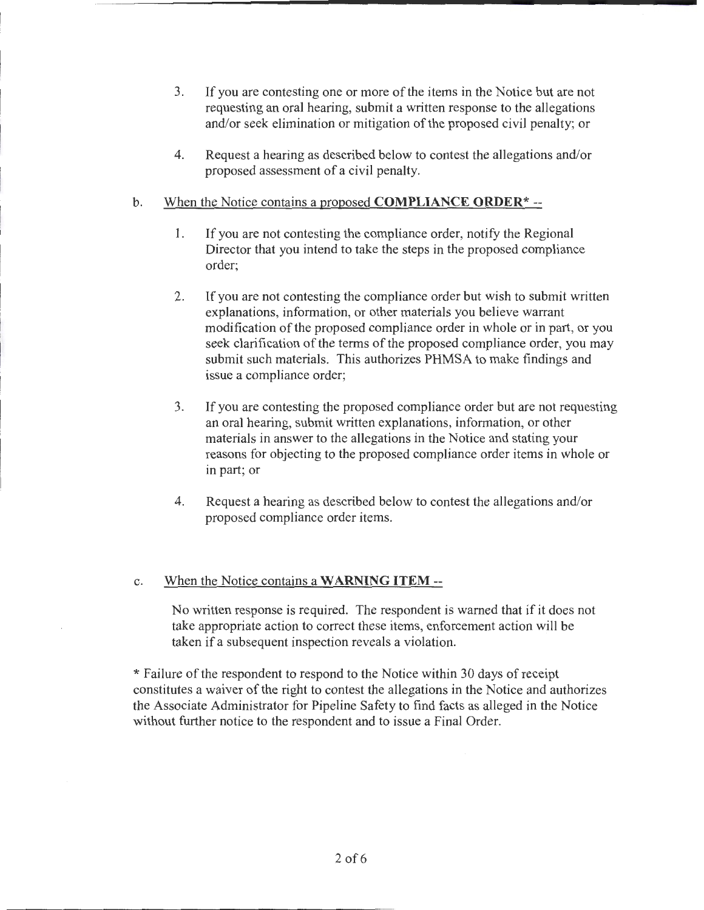- 3. If you are contesting one or more of the items in the Notice but are not requesting an oral hearing, submit a written response to the allegations and/or seek elimination or mitigation of the proposed civil penalty; or
- 4. Request a hearing as described below to contest the allegations and/or proposed assessment of a civil penalty.
- b. When the Notice contains a proposed **COMPLIANCE ORDER\*** --
	- 1. If you are not contesting the compliance order, notify the Regional Director that you intend to take the steps in the proposed compliance order;
	- 2. If you are not contesting the compliance order but wish to submit written explanations, information, or other materials you believe warrant modification of the proposed compliance order in whole or in part, or you seek clarification of the terms of the proposed compliance order, you may submit such materials. This authorizes PHMSA to make findings and issue a compliance order;
	- 3. If you are contesting the proposed compliance order but are not requesting an oral hearing, submit written explanations, information, or other materials in answer to the allegations in the Notice and stating your reasons for objecting to the proposed compliance order items in whole or in part; or
	- 4. Request a hearing as described below to contest the allegations and/or proposed compliance order items.

### c. When the Notice contains a **WARNING ITEM--**

No written response is required. The respondent is warned that if it does not take appropriate action to correct these items, enforcement action will be taken if a subsequent inspection reveals a violation.

\* Failure of the respondent to respond to the Notice within 30 days of receipt constitutes a waiver of the right to contest the allegations in the Notice and authorizes the Associate Administrator for Pipeline Safety to find facts as alleged in the Notice without further notice to the respondent and to issue a Final Order.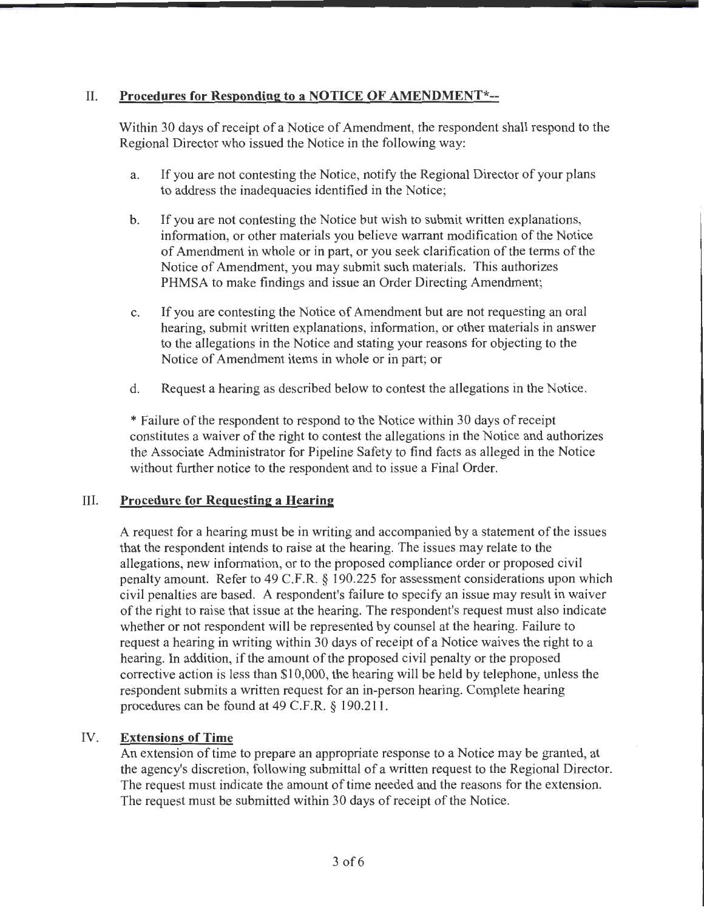# II. **Procedures for Responding to a NOTICE OF AMENDMENT\*--**

Within 30 days of receipt of a Notice of Amendment, the respondent shall respond to the Regional Director who issued the Notice in the following way:

- a. If you are not contesting the Notice, notify the Regional Director of your plans to address the inadequacies identified in the Notice;
- b. If you are not contesting the Notice but wish to submit written explanations, information, or other materials you believe warrant modification of the Notice of Amendment in whole or in part, or you seek clarification of the terms of the Notice of Amendment, you may submit such materials. This authorizes PHMSA to make findings and issue an Order Directing Amendment;
- c. If you are contesting the Notice of Amendment but are not requesting an oral hearing, submit written explanations, information, or other materials in answer to the allegations in the Notice and stating your reasons for objecting to the Notice of Amendment items in whole or in part; or
- d. Request a hearing as described below to contest the allegations in the Notice.

\*Failure ofthe respondent to respond to the Notice within 30 days of receipt constitutes a waiver of the right to contest the allegations in the Notice and authorizes the Associate Administrator for Pipeline Safety to find facts as alleged in the Notice without further notice to the respondent and to issue a Final Order.

### III. **Procedure for Requesting a Hearing**

A request for a hearing must be in writing and accompanied by a statement of the issues that the respondent intends to raise at the hearing. The issues may relate to the allegations, new information, or to the proposed compliance order or proposed civil penalty amount. Refer to 49 C.F.R. § 190.225 for assessment considerations upon which civil penalties are based. A respondent's failure to specify an issue may result in waiver of the right to raise that issue at the hearing. The respondent's request must also indicate whether or not respondent will be represented by counsel at the hearing. Failure to request a hearing in writing within 30 days of receipt of a Notice waives the right to a hearing. In addition, if the amount of the proposed civil penalty or the proposed corrective action is less than \$10,000, the hearing will be held by telephone, unless the respondent submits a written request for an in-person hearing. Complete hearing procedures can be found at 49 C.F.R. § 190.211.

# IV. **Extensions of Time**

An extension of time to prepare an appropriate response to a Notice may be granted, at the agency's discretion, following submittal of a written request to the Regional Director. The request must indicate the amount of time needed and the reasons for the extension. The request must be submitted within 30 days of receipt of the Notice.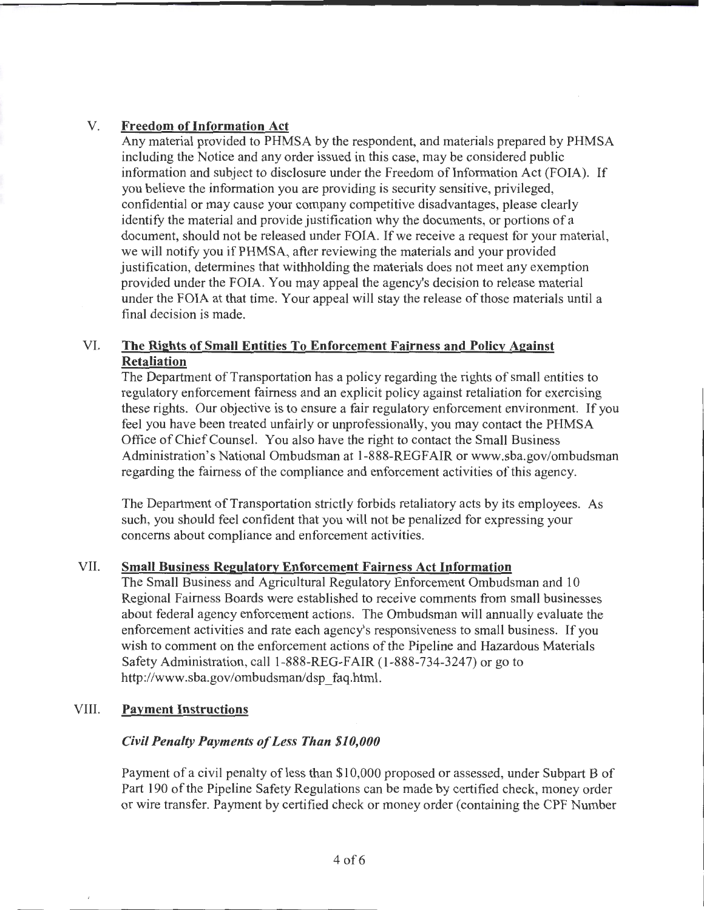## V. **Freedom ofinformation Act**

Any material provided to PHMSA by the respondent, and materials prepared by PHMSA including the Notice and any order issued in this case, may be considered public information and subject to disclosure under the Freedom of Information Act (FOIA). If you believe the information you are providing is security sensitive, privileged, confidential or may cause your company competitive disadvantages, please clearly identify the material and provide justification why the documents, or portions of a document, should not be released under FOIA. If we receive a request for your material, we will notify you if PHMSA, after reviewing the materials and your provided justification, determines that withholding the materials does not meet any exemption provided under the FOIA. You may appeal the agency's decision to release material under the FOIA at that time. Your appeal will stay the release of those materials until a final decision is made.

## VI. **The Rights of Small Entities To Enforcement Fairness and Policy Against Retaliation**

The Department of Transportation has a policy regarding the rights of small entities to regulatory enforcement fairness and an explicit policy against retaliation for exercising these rights. Our objective is to ensure a fair regulatory enforcement environment. If you feel you have been treated unfairly or unprofessionally, you may contact the PHMSA Office of Chief Counsel. You also have the right to contact the Small Business Administration's National Ombudsman at 1-888-REGFAIR or www.sba.gov/ombudsman regarding the fairness of the compliance and enforcement activities of this agency.

The Department of Transportation strictly forbids retaliatory acts by its employees. As such, you should feel confident that you will not be penalized for expressing your concerns about compliance and enforcement activities.

### VII. **Small Business Regulatory Enforcement Fairness Act Information**

The Small Business and Agricultural Regulatory Enforcement Ombudsman and 10 Regional Fairness Boards were established to receive comments from small businesses about federal agency enforcement actions. The Ombudsman will annually evaluate the enforcement activities and rate each agency's responsiveness to small business. If you wish to comment on the enforcement actions of the Pipeline and Hazardous Materials Safety Administration, call 1-888-REG-FAIR (1-888-734-3247) or go to http://www.sba.gov/ombudsman/dsp\_faq.html.

### VIII. **Payment Instructions**

### *Civil Penalty Payments of Less Than \$10,000*

Payment of a civil penalty of less than \$10,000 proposed or assessed, under Subpart B of Part 190 of the Pipeline Safety Regulations can be made by certified check, money order or wire transfer. Payment by certified check or money order (containing the CPF Number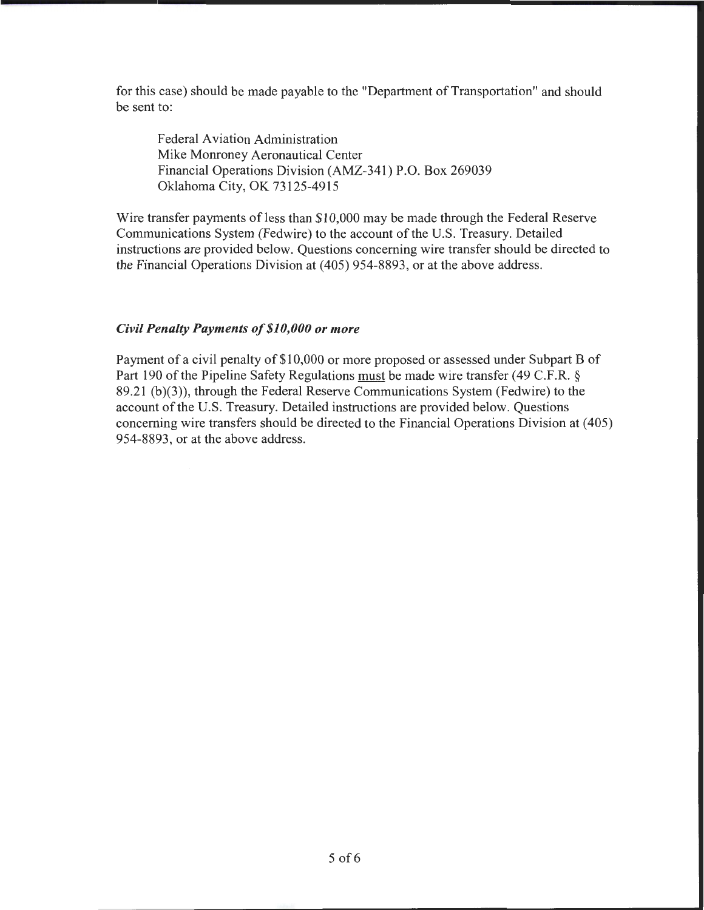for this case) should be made payable to the "Department of Transportation" and should be sent to:

Federal Aviation Administration Mike Monroney Aeronautical Center Financial Operations Division (AMZ-341) P.O. Box 269039 Oklahoma City, OK 73125-4915

Wire transfer payments of less than \$10,000 may be made through the Federal Reserve Communications System (Fedwire) to the account of the U.S. Treasury. Detailed instructions are provided below. Questions concerning wire transfer should be directed to the Financial Operations Division at (405) 954-8893, or at the above address.

#### *Civil Penalty Payments of\$10,000 or more*

Payment of a civil penalty of \$10,000 or more proposed or assessed under Subpart B of Part 190 of the Pipeline Safety Regulations must be made wire transfer (49 C.F.R. § 89.21 (b)(3)), through the Federal Reserve Communications System (Fedwire) to the account of the U.S. Treasury. Detailed instructions are provided below. Questions concerning wire transfers should be directed to the Financial Operations Division at ( 405) 954-8893, or at the above address.